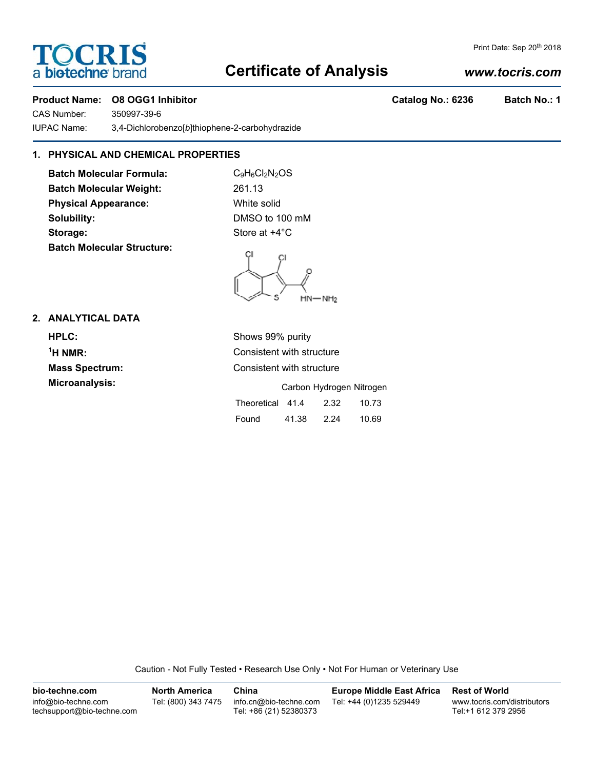# **Certificate of Analysis**

# **Product Name: O8 OGG1 Inhibitor Catalog No.: 6236 Batch No.: 1**

**TOCRIS** 

a biotechne bra

CAS Number: 350997-39-6 IUPAC Name: 3,4-Dichlorobenzo[*b*]thiophene-2-carbohydrazide

# **1. PHYSICAL AND CHEMICAL PROPERTIES**

**Batch Molecular Formula:** C<sub>9</sub>H<sub>6</sub>Cl<sub>2</sub>N<sub>2</sub>OS Batch Molecular Weight: 261.13 **Physical Appearance:** White solid **Solubility:** DMSO to 100 mM **Storage:** Store at  $+4^{\circ}$ C **Batch Molecular Structure:**

 $HN - NH<sub>2</sub>$ 

## **2. ANALYTICAL DATA**

| <b>HPLC:</b>          | Shows 99% purity                  |
|-----------------------|-----------------------------------|
| $\mathrm{^1H}$ NMR:   | Consistent with structure         |
| <b>Mass Spectrum:</b> | Consistent with structure         |
| Microanalysis:        | Carbon Hydrogen Nitrogen          |
|                       | Theoretical 41.4<br>2.32<br>10.73 |
|                       | 41.38<br>Found<br>2.24<br>10.69   |

Caution - Not Fully Tested • Research Use Only • Not For Human or Veterinary Use

**bio-techne.com** info@bio-techne.com techsupport@bio-techne.com **North America** Tel: (800) 343 7475 **China** info.cn@bio-techne.com Tel: +86 (21) 52380373 **Europe Middle East Africa** Tel: +44 (0)1235 529449 **Rest of World** www.tocris.com/distributors Tel:+1 612 379 2956

# *www.tocris.com*